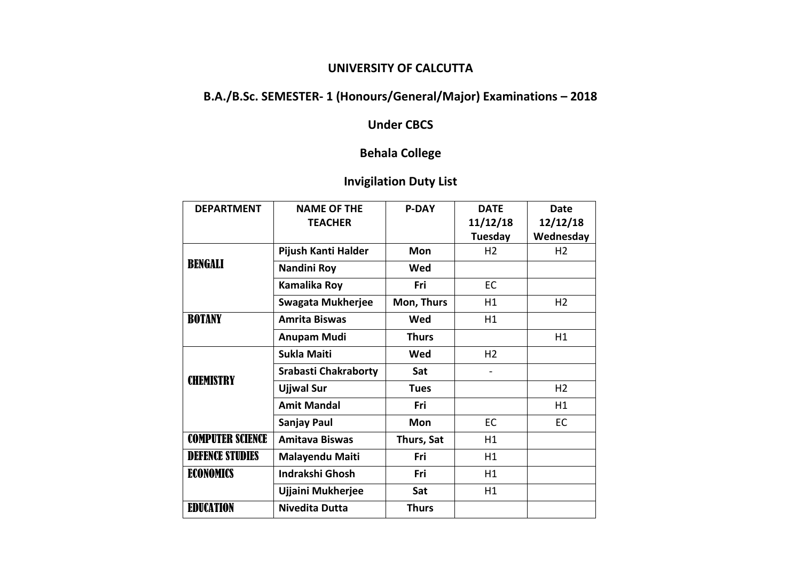### **UNIVERSITY OF CALCUTTA**

# **B.A./B.Sc. SEMESTER- 1 (Honours/General/Major) Examinations – 2018**

## **Under CBCS**

## **Behala College**

## **Invigilation Duty List**

| <b>DEPARTMENT</b>       | <b>NAME OF THE</b>          | <b>P-DAY</b> | <b>DATE</b>    | Date           |
|-------------------------|-----------------------------|--------------|----------------|----------------|
|                         | <b>TEACHER</b>              |              | 11/12/18       | 12/12/18       |
|                         |                             |              | Tuesday        | Wednesday      |
| BENGALI                 | Pijush Kanti Halder         | Mon          | H <sub>2</sub> | H <sub>2</sub> |
|                         | Nandini Roy                 | Wed          |                |                |
|                         | <b>Kamalika Roy</b>         | Fri          | EC             |                |
|                         | <b>Swagata Mukherjee</b>    | Mon, Thurs   | H1             | H <sub>2</sub> |
| <b>BOTANY</b>           | <b>Amrita Biswas</b>        | Wed          | H1             |                |
|                         | <b>Anupam Mudi</b>          | <b>Thurs</b> |                | H1             |
| <b>CHEMISTRY</b>        | <b>Sukla Maiti</b>          | Wed          | H <sub>2</sub> |                |
|                         | <b>Srabasti Chakraborty</b> | Sat          |                |                |
|                         | <b>Ujjwal Sur</b>           | <b>Tues</b>  |                | H <sub>2</sub> |
|                         | <b>Amit Mandal</b>          | Fri          |                | H1             |
|                         | <b>Sanjay Paul</b>          | <b>Mon</b>   | EC             | EC             |
| <b>COMPUTER SCIENCE</b> | <b>Amitava Biswas</b>       | Thurs, Sat   | H1             |                |
| <b>DEFENCE STUDIES</b>  | <b>Malayendu Maiti</b>      | Fri          | H1             |                |
| <b>ECONOMICS</b>        | <b>Indrakshi Ghosh</b>      | Fri          | H1             |                |
|                         | Ujjaini Mukherjee           | Sat          | H1             |                |
| <b>EDUCATION</b>        | <b>Nivedita Dutta</b>       | <b>Thurs</b> |                |                |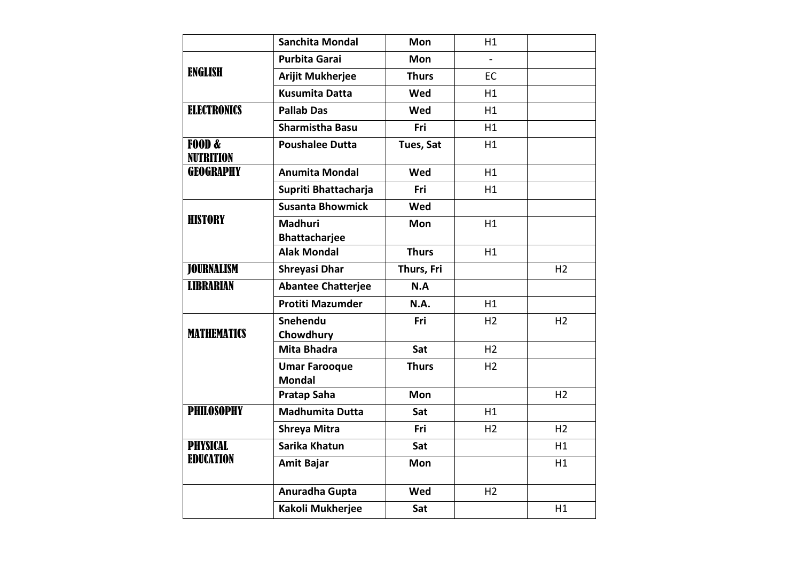|                            | <b>Sanchita Mondal</b>                 | Mon          | H1             |                |
|----------------------------|----------------------------------------|--------------|----------------|----------------|
| <b>ENGLISH</b>             | <b>Purbita Garai</b>                   | Mon          |                |                |
|                            | <b>Arijit Mukherjee</b>                | <b>Thurs</b> | EC             |                |
|                            | <b>Kusumita Datta</b>                  | Wed          | H1             |                |
| <b>ELECTRONICS</b>         | <b>Pallab Das</b>                      | Wed          | H1             |                |
|                            | <b>Sharmistha Basu</b>                 | Fri          | H1             |                |
| F00D &<br><b>NUTRITION</b> | <b>Poushalee Dutta</b>                 | Tues, Sat    | H1             |                |
| <b>GEOGRAPHY</b>           | <b>Anumita Mondal</b>                  | Wed          | H1             |                |
|                            | Supriti Bhattacharja                   | Fri          | H1             |                |
| <b>HISTORY</b>             | <b>Susanta Bhowmick</b>                | Wed          |                |                |
|                            | <b>Madhuri</b><br><b>Bhattacharjee</b> | Mon          | H1             |                |
|                            | <b>Alak Mondal</b>                     | <b>Thurs</b> | H1             |                |
| <b>JOURNALISM</b>          | <b>Shreyasi Dhar</b>                   | Thurs, Fri   |                | H <sub>2</sub> |
| <b>LIBRARIAN</b>           | <b>Abantee Chatterjee</b>              | N.A          |                |                |
|                            | <b>Protiti Mazumder</b>                | N.A.         | H1             |                |
| <b>MATHEMATICS</b>         | Snehendu<br>Chowdhury                  | Fri          | H <sub>2</sub> | H <sub>2</sub> |
|                            | <b>Mita Bhadra</b>                     | Sat          | H <sub>2</sub> |                |
|                            | <b>Umar Farooque</b><br><b>Mondal</b>  | <b>Thurs</b> | H <sub>2</sub> |                |
|                            | <b>Pratap Saha</b>                     | Mon          |                | H <sub>2</sub> |
| <b>PHILOSOPHY</b>          | <b>Madhumita Dutta</b>                 | Sat          | H1             |                |
|                            | <b>Shreya Mitra</b>                    | Fri          | H <sub>2</sub> | H <sub>2</sub> |
| <b>PHYSICAL</b>            | Sarika Khatun                          | Sat          |                | H1             |
| <b>EDUCATION</b>           | <b>Amit Bajar</b>                      | Mon          |                | H1             |
|                            | Anuradha Gupta                         | Wed          | H <sub>2</sub> |                |
|                            | Kakoli Mukherjee                       | Sat          |                | H1             |